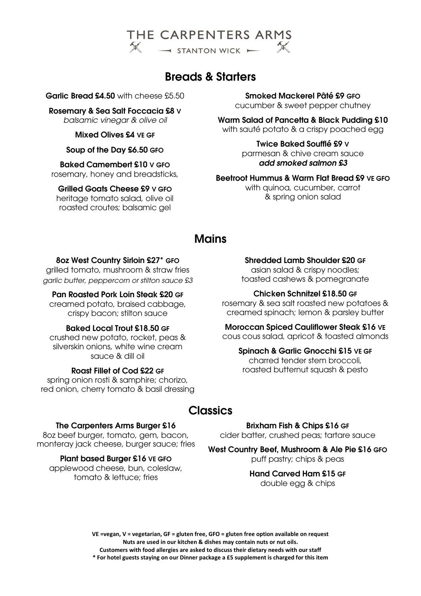

# Breads & Starters

Garlic Bread £4.50 with cheese £5.50

Rosemary & Sea Salt Foccacia £8 V balsamic vinegar & olive oil

Mixed Olives £4 VE GF

## Soup of the Day £6.50 GFO

Baked Camembert £10 V GFO rosemary, honey and breadsticks,

# Grilled Goats Cheese £9 V GFO

heritage tomato salad, olive oil roasted croutes; balsamic gel

Smoked Mackerel Pâté £9 GFO cucumber & sweet pepper chutney

Warm Salad of Pancetta & Black Pudding £10 with sauté potato & a crispy poached egg

> Twice Baked Soufflé £9 V parmesan & chive cream sauce add smoked salmon £3

## Beetroot Hummus & Warm Flat Bread £9 VE GFO

with quinoa, cucumber, carrot & spring onion salad

# **Mains**

## 8oz West Country Sirloin £27\* GFO

grilled tomato, mushroom & straw fries garlic butter, peppercorn or stilton sauce £3

## Pan Roasted Pork Loin Steak £20 GF

creamed potato, braised cabbage, crispy bacon; stilton sauce

# Baked Local Trout £18.50 GF

crushed new potato, rocket, peas & silverskin onions, white wine cream sauce & dill oil

## Roast Fillet of Cod £22 GF

spring onion rosti & samphire; chorizo, red onion, cherry tomato & basil dressing

## Shredded Lamb Shoulder £20 GF

asian salad & crispy noodles; toasted cashews & pomegranate

# Chicken Schnitzel £18.50 GF

rosemary & sea salt roasted new potatoes & creamed spinach; lemon & parsley butter

#### Moroccan Spiced Cauliflower Steak £16 VE cous cous salad, apricot & toasted almonds

# Spinach & Garlic Gnocchi £15 VE GF

charred tender stem broccoli, roasted butternut squash & pesto

# **Classics**

### The Carpenters Arms Burger £16

8oz beef burger, tomato, gem, bacon, monteray jack cheese, burger sauce; fries

# Plant based Burger £16 VE GFO

applewood cheese, bun, coleslaw, tomato & lettuce; fries

Brixham Fish & Chips £16 GF

cider batter, crushed peas; tartare sauce

West Country Beef, Mushroom & Ale Pie £16 GFO puff pastry; chips & peas

# Hand Carved Ham £15 GF double egg & chips

VE =vegan, V = vegetarian, GF = gluten free, GFO = gluten free option available on request Nuts are used in our kitchen & dishes may contain nuts or nut oils. Customers with food allergies are asked to discuss their dietary needs with our staff \* For hotel guests staying on our Dinner package a £5 supplement is charged for this item